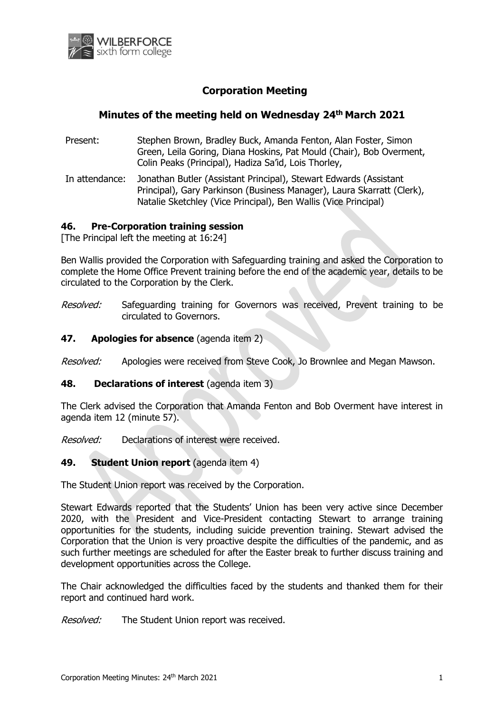

# **Corporation Meeting**

# **Minutes of the meeting held on Wednesday 24th March 2021**

- Present: Stephen Brown, Bradley Buck, Amanda Fenton, Alan Foster, Simon Green, Leila Goring, Diana Hoskins, Pat Mould (Chair), Bob Overment, Colin Peaks (Principal), Hadiza Sa'id, Lois Thorley,
- In attendance: Jonathan Butler (Assistant Principal), Stewart Edwards (Assistant Principal), Gary Parkinson (Business Manager), Laura Skarratt (Clerk), Natalie Sketchley (Vice Principal), Ben Wallis (Vice Principal)

#### **46. Pre-Corporation training session**

[The Principal left the meeting at 16:24]

Ben Wallis provided the Corporation with Safeguarding training and asked the Corporation to complete the Home Office Prevent training before the end of the academic year, details to be circulated to the Corporation by the Clerk.

Resolved: Safeguarding training for Governors was received, Prevent training to be circulated to Governors.

#### **47. Apologies for absence** (agenda item 2)

Resolved: Apologies were received from Steve Cook, Jo Brownlee and Megan Mawson.

#### **48. Declarations of interest** (agenda item 3)

The Clerk advised the Corporation that Amanda Fenton and Bob Overment have interest in agenda item 12 (minute 57).

Resolved: Declarations of interest were received.

### **49. Student Union report** (agenda item 4)

The Student Union report was received by the Corporation.

Stewart Edwards reported that the Students' Union has been very active since December 2020, with the President and Vice-President contacting Stewart to arrange training opportunities for the students, including suicide prevention training. Stewart advised the Corporation that the Union is very proactive despite the difficulties of the pandemic, and as such further meetings are scheduled for after the Easter break to further discuss training and development opportunities across the College.

The Chair acknowledged the difficulties faced by the students and thanked them for their report and continued hard work.

Resolved: The Student Union report was received.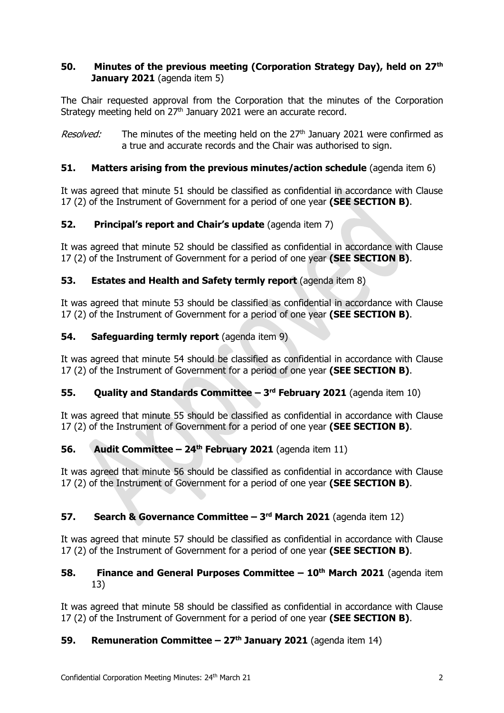## **50. Minutes of the previous meeting (Corporation Strategy Day), held on 27th January 2021** (agenda item 5)

The Chair requested approval from the Corporation that the minutes of the Corporation Strategy meeting held on 27<sup>th</sup> January 2021 were an accurate record.

Resolved: The minutes of the meeting held on the 27<sup>th</sup> January 2021 were confirmed as a true and accurate records and the Chair was authorised to sign.

## **51. Matters arising from the previous minutes/action schedule** (agenda item 6)

It was agreed that minute 51 should be classified as confidential in accordance with Clause 17 (2) of the Instrument of Government for a period of one year **(SEE SECTION B)**.

## **52. Principal's report and Chair's update** (agenda item 7)

It was agreed that minute 52 should be classified as confidential in accordance with Clause 17 (2) of the Instrument of Government for a period of one year **(SEE SECTION B)**.

## **53. Estates and Health and Safety termly report** (agenda item 8)

It was agreed that minute 53 should be classified as confidential in accordance with Clause 17 (2) of the Instrument of Government for a period of one year **(SEE SECTION B)**.

## **54. Safeguarding termly report** (agenda item 9)

It was agreed that minute 54 should be classified as confidential in accordance with Clause 17 (2) of the Instrument of Government for a period of one year **(SEE SECTION B)**.

### **55. Quality and Standards Committee – 3 rd February 2021** (agenda item 10)

It was agreed that minute 55 should be classified as confidential in accordance with Clause 17 (2) of the Instrument of Government for a period of one year **(SEE SECTION B)**.

### **56. Audit Committee – 24th February 2021** (agenda item 11)

It was agreed that minute 56 should be classified as confidential in accordance with Clause 17 (2) of the Instrument of Government for a period of one year **(SEE SECTION B)**.

### **57. Search & Governance Committee – 3 rd March 2021** (agenda item 12)

It was agreed that minute 57 should be classified as confidential in accordance with Clause 17 (2) of the Instrument of Government for a period of one year **(SEE SECTION B)**.

#### **58. Finance and General Purposes Committee – 10th March 2021** (agenda item 13)

It was agreed that minute 58 should be classified as confidential in accordance with Clause 17 (2) of the Instrument of Government for a period of one year **(SEE SECTION B)**.

### **59. Remuneration Committee – 27th January 2021** (agenda item 14)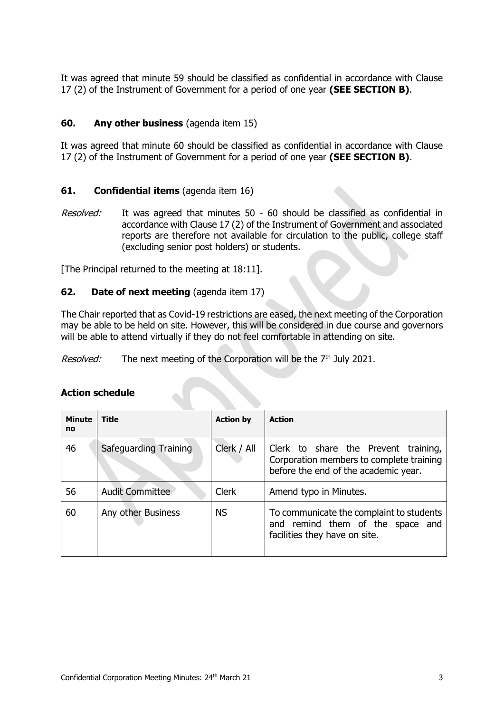It was agreed that minute 59 should be classified as confidential in accordance with Clause 17 (2) of the Instrument of Government for a period of one year **(SEE SECTION B)**.

### **60. Any other business** (agenda item 15)

It was agreed that minute 60 should be classified as confidential in accordance with Clause 17 (2) of the Instrument of Government for a period of one year **(SEE SECTION B)**.

### **61. Confidential items** (agenda item 16)

Resolved: It was agreed that minutes 50 - 60 should be classified as confidential in accordance with Clause 17 (2) of the Instrument of Government and associated reports are therefore not available for circulation to the public, college staff (excluding senior post holders) or students.

[The Principal returned to the meeting at 18:11].

#### **62. Date of next meeting** (agenda item 17)

The Chair reported that as Covid-19 restrictions are eased, the next meeting of the Corporation may be able to be held on site. However, this will be considered in due course and governors will be able to attend virtually if they do not feel comfortable in attending on site.

*Resolved:* The next meeting of the Corporation will be the  $7<sup>th</sup>$  July 2021.

| <b>Minute</b><br>no | <b>Title</b>           | <b>Action by</b> | <b>Action</b>                                                                                                            |
|---------------------|------------------------|------------------|--------------------------------------------------------------------------------------------------------------------------|
| 46                  | Safeguarding Training  | Clerk / All      | Clerk to share the Prevent training,<br>Corporation members to complete training<br>before the end of the academic year. |
| 56                  | <b>Audit Committee</b> | <b>Clerk</b>     | Amend typo in Minutes.                                                                                                   |
| 60                  | Any other Business     | <b>NS</b>        | To communicate the complaint to students<br>and remind them of the space and<br>facilities they have on site.            |

### **Action schedule**